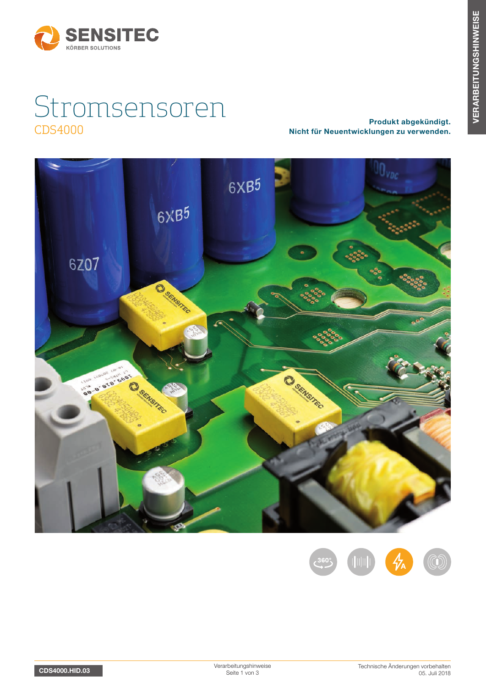

# Stromsensoren CDS4000 Produkt abgekündigt. Nicht für Neuentwicklungen zu verwenden.



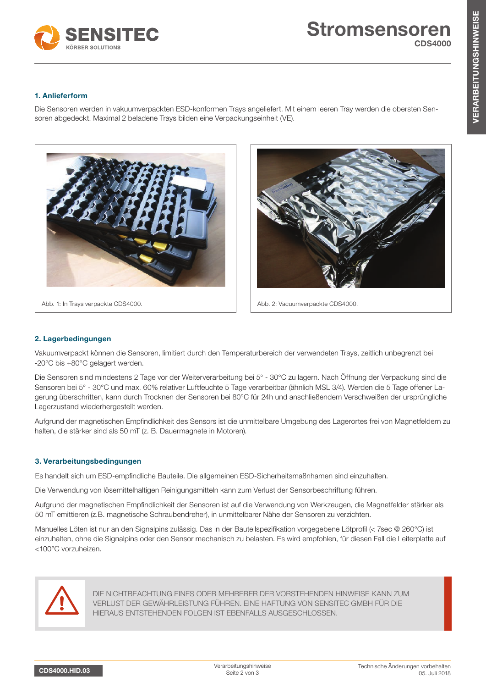

# 1. Anlieferform

Die Sensoren werden in vakuumverpackten ESD-konformen Trays angeliefert. Mit einem leeren Tray werden die obersten Sensoren abgedeckt. Maximal 2 beladene Trays bilden eine Verpackungseinheit (VE).





Abb. 2: Vacuumverpackte CDS4000.

## 2. Lagerbedingungen

Vakuumverpackt können die Sensoren, limitiert durch den Temperaturbereich der verwendeten Trays, zeitlich unbegrenzt bei -20°C bis +80°C gelagert werden.

Die Sensoren sind mindestens 2 Tage vor der Weiterverarbeitung bei 5° - 30°C zu lagern. Nach Öffnung der Verpackung sind die Sensoren bei 5° - 30°C und max. 60% relativer Luftfeuchte 5 Tage verarbeitbar (ähnlich MSL 3/4). Werden die 5 Tage offener Lagerung überschritten, kann durch Trocknen der Sensoren bei 80°C für 24h und anschließendem Verschweißen der ursprüngliche Lagerzustand wiederhergestellt werden.

Aufgrund der magnetischen Empfindlichkeit des Sensors ist die unmittelbare Umgebung des Lagerortes frei von Magnetfeldern zu halten, die stärker sind als 50 mT (z. B. Dauermagnete in Motoren).

### 3. Verarbeitungsbedingungen

Es handelt sich um ESD-empfindliche Bauteile. Die allgemeinen ESD-Sicherheitsmaßnhamen sind einzuhalten.

Die Verwendung von lösemittelhaltigen Reinigungsmitteln kann zum Verlust der Sensorbeschriftung führen.

Aufgrund der magnetischen Empfindlichkeit der Sensoren ist auf die Verwendung von Werkzeugen, die Magnetfelder stärker als 50 mT emittieren (z.B. magnetische Schraubendreher), in unmittelbarer Nähe der Sensoren zu verzichten.

Manuelles Löten ist nur an den Signalpins zulässig. Das in der Bauteilspezifikation vorgegebene Lötprofil (< 7sec @ 260°C) ist einzuhalten, ohne die Signalpins oder den Sensor mechanisch zu belasten. Es wird empfohlen, für diesen Fall die Leiterplatte auf <100°C vorzuheizen.



DIE NICHTBEACHTUNG EINES ODER MEHRERER DER VORSTEHENDEN HINWEISE KANN ZUM VERLUST DER GEWÄHRLEISTUNG FÜHREN. EINE HAFTUNG VON SENSITEC GMBH FÜR DIE HIERAUS ENTSTEHENDEN FOLGEN IST EBENFALLS AUSGESCHLOSSEN.